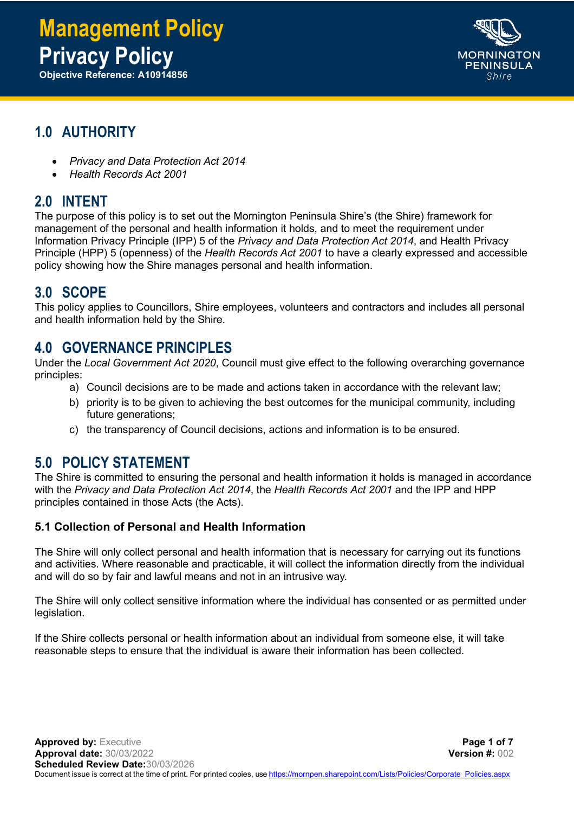# **Management Policy Privacy Policy**

**Objective Reference: A10914856**



# **1.0 AUTHORITY**

- *Privacy and Data Protection Act 2014*
- *Health Records Act 2001*

# **2.0 INTENT**

The purpose of this policy is to set out the Mornington Peninsula Shire's (the Shire) framework for management of the personal and health information it holds, and to meet the requirement under Information Privacy Principle (IPP) 5 of the *Privacy and Data Protection Act 2014*, and Health Privacy Principle (HPP) 5 (openness) of the *Health Records Act 2001* to have a clearly expressed and accessible policy showing how the Shire manages personal and health information.

# **3.0 SCOPE**

This policy applies to Councillors, Shire employees, volunteers and contractors and includes all personal and health information held by the Shire.

## **4.0 GOVERNANCE PRINCIPLES**

Under the *Local Government Act 2020*, Council must give effect to the following overarching governance principles:

- a) Council decisions are to be made and actions taken in accordance with the relevant law;
- b) priority is to be given to achieving the best outcomes for the municipal community, including future generations;
- c) the transparency of Council decisions, actions and information is to be ensured.

### **5.0 POLICY STATEMENT**

The Shire is committed to ensuring the personal and health information it holds is managed in accordance with the *Privacy and Data Protection Act 2014*, the *Health Records Act 2001* and the IPP and HPP principles contained in those Acts (the Acts).

#### **5.1 Collection of Personal and Health Information**

The Shire will only collect personal and health information that is necessary for carrying out its functions and activities. Where reasonable and practicable, it will collect the information directly from the individual and will do so by fair and lawful means and not in an intrusive way.

The Shire will only collect sensitive information where the individual has consented or as permitted under legislation.

If the Shire collects personal or health information about an individual from someone else, it will take reasonable steps to ensure that the individual is aware their information has been collected.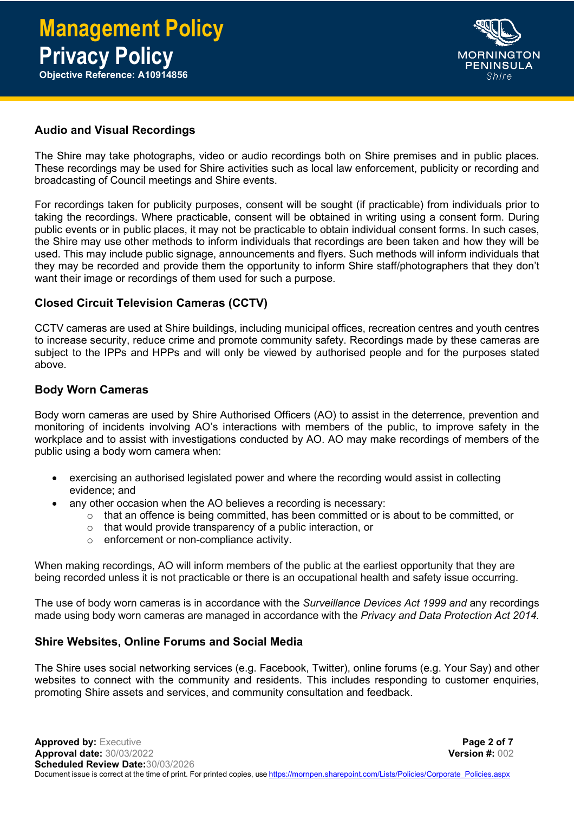

#### **Audio and Visual Recordings**

The Shire may take photographs, video or audio recordings both on Shire premises and in public places. These recordings may be used for Shire activities such as local law enforcement, publicity or recording and broadcasting of Council meetings and Shire events.

For recordings taken for publicity purposes, consent will be sought (if practicable) from individuals prior to taking the recordings. Where practicable, consent will be obtained in writing using a consent form. During public events or in public places, it may not be practicable to obtain individual consent forms. In such cases, the Shire may use other methods to inform individuals that recordings are been taken and how they will be used. This may include public signage, announcements and flyers. Such methods will inform individuals that they may be recorded and provide them the opportunity to inform Shire staff/photographers that they don't want their image or recordings of them used for such a purpose.

#### **Closed Circuit Television Cameras (CCTV)**

CCTV cameras are used at Shire buildings, including municipal offices, recreation centres and youth centres to increase security, reduce crime and promote community safety. Recordings made by these cameras are subject to the IPPs and HPPs and will only be viewed by authorised people and for the purposes stated above.

#### **Body Worn Cameras**

Body worn cameras are used by Shire Authorised Officers (AO) to assist in the deterrence, prevention and monitoring of incidents involving AO's interactions with members of the public, to improve safety in the workplace and to assist with investigations conducted by AO. AO may make recordings of members of the public using a body worn camera when:

- exercising an authorised legislated power and where the recording would assist in collecting evidence; and
	- any other occasion when the AO believes a recording is necessary:
		- $\circ$  that an offence is being committed, has been committed or is about to be committed, or
		- o that would provide transparency of a public interaction, or
		- o enforcement or non-compliance activity.

When making recordings, AO will inform members of the public at the earliest opportunity that they are being recorded unless it is not practicable or there is an occupational health and safety issue occurring.

The use of body worn cameras is in accordance with the *Surveillance Devices Act 1999 and* any recordings made using body worn cameras are managed in accordance with the *Privacy and Data Protection Act 2014.*

#### **Shire Websites, Online Forums and Social Media**

The Shire uses social networking services (e.g. Facebook, Twitter), online forums (e.g. Your Say) and other websites to connect with the community and residents. This includes responding to customer enquiries, promoting Shire assets and services, and community consultation and feedback.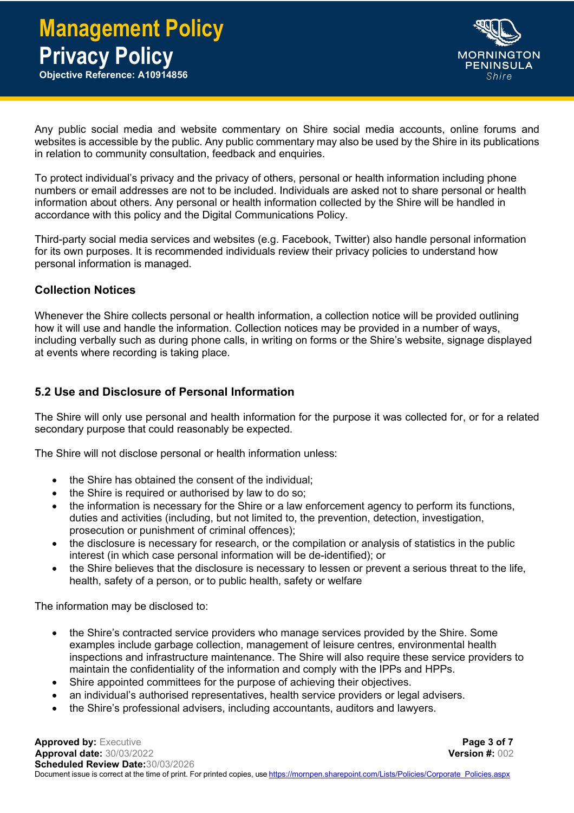

Any public social media and website commentary on Shire social media accounts, online forums and websites is accessible by the public. Any public commentary may also be used by the Shire in its publications in relation to community consultation, feedback and enquiries.

To protect individual's privacy and the privacy of others, personal or health information including phone numbers or email addresses are not to be included. Individuals are asked not to share personal or health information about others. Any personal or health information collected by the Shire will be handled in accordance with this policy and the Digital Communications Policy.

Third-party social media services and websites (e.g. Facebook, Twitter) also handle personal information for its own purposes. It is recommended individuals review their privacy policies to understand how personal information is managed.

#### **Collection Notices**

Whenever the Shire collects personal or health information, a collection notice will be provided outlining how it will use and handle the information. Collection notices may be provided in a number of ways, including verbally such as during phone calls, in writing on forms or the Shire's website, signage displayed at events where recording is taking place.

#### **5.2 Use and Disclosure of Personal Information**

The Shire will only use personal and health information for the purpose it was collected for, or for a related secondary purpose that could reasonably be expected.

The Shire will not disclose personal or health information unless:

- the Shire has obtained the consent of the individual:
- the Shire is required or authorised by law to do so:
- the information is necessary for the Shire or a law enforcement agency to perform its functions, duties and activities (including, but not limited to, the prevention, detection, investigation, prosecution or punishment of criminal offences);
- the disclosure is necessary for research, or the compilation or analysis of statistics in the public interest (in which case personal information will be de-identified); or
- the Shire believes that the disclosure is necessary to lessen or prevent a serious threat to the life, health, safety of a person, or to public health, safety or welfare

The information may be disclosed to:

- the Shire's contracted service providers who manage services provided by the Shire. Some examples include garbage collection, management of leisure centres, environmental health inspections and infrastructure maintenance. The Shire will also require these service providers to maintain the confidentiality of the information and comply with the IPPs and HPPs.
- Shire appointed committees for the purpose of achieving their objectives.
- an individual's authorised representatives, health service providers or legal advisers.
- the Shire's professional advisers, including accountants, auditors and lawyers.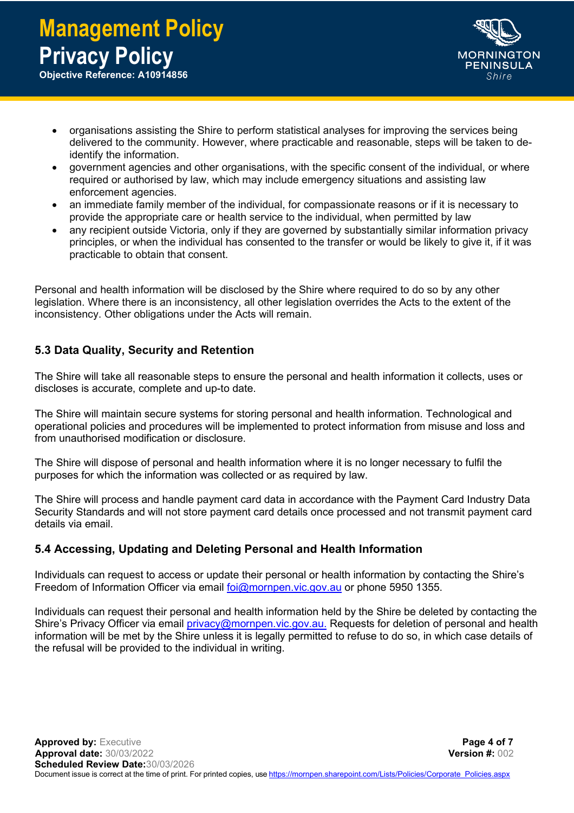

- organisations assisting the Shire to perform statistical analyses for improving the services being delivered to the community. However, where practicable and reasonable, steps will be taken to deidentify the information.
- government agencies and other organisations, with the specific consent of the individual, or where required or authorised by law, which may include emergency situations and assisting law enforcement agencies.
- an immediate family member of the individual, for compassionate reasons or if it is necessary to provide the appropriate care or health service to the individual, when permitted by law
- any recipient outside Victoria, only if they are governed by substantially similar information privacy principles, or when the individual has consented to the transfer or would be likely to give it, if it was practicable to obtain that consent.

Personal and health information will be disclosed by the Shire where required to do so by any other legislation. Where there is an inconsistency, all other legislation overrides the Acts to the extent of the inconsistency. Other obligations under the Acts will remain.

#### **5.3 Data Quality, Security and Retention**

The Shire will take all reasonable steps to ensure the personal and health information it collects, uses or discloses is accurate, complete and up-to date.

The Shire will maintain secure systems for storing personal and health information. Technological and operational policies and procedures will be implemented to protect information from misuse and loss and from unauthorised modification or disclosure.

The Shire will dispose of personal and health information where it is no longer necessary to fulfil the purposes for which the information was collected or as required by law.

The Shire will process and handle payment card data in accordance with the Payment Card Industry Data Security Standards and will not store payment card details once processed and not transmit payment card details via email.

#### **5.4 Accessing, Updating and Deleting Personal and Health Information**

Individuals can request to access or update their personal or health information by contacting the Shire's Freedom of Information Officer via email [foi@mornpen.vic.gov.au](mailto:foi@mornpen.vic.gov.au) or phone 5950 1355.

Individuals can request their personal and health information held by the Shire be deleted by contacting the Shire's Privacy Officer via email [privacy@mornpen.vic.gov.au.](mailto:privacy@mornpen.vic.gov.au) Requests for deletion of personal and health information will be met by the Shire unless it is legally permitted to refuse to do so, in which case details of the refusal will be provided to the individual in writing.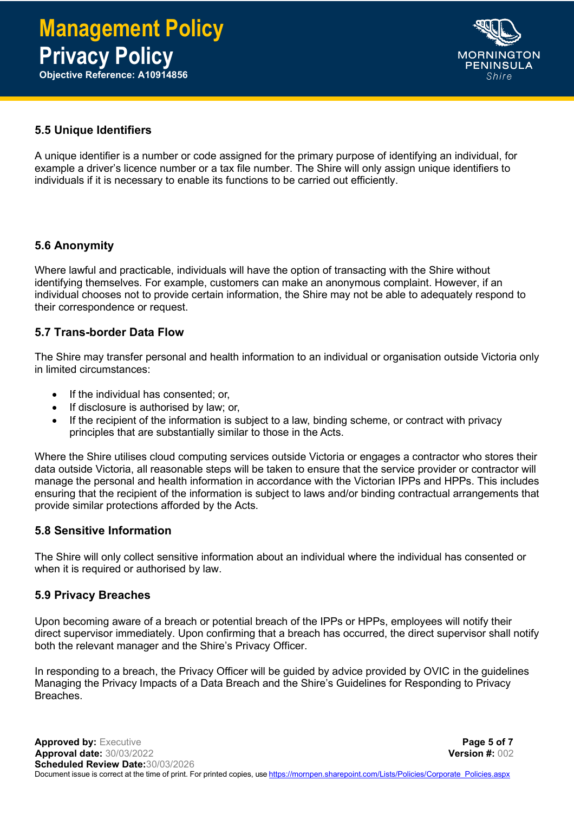

#### **5.5 Unique Identifiers**

A unique identifier is a number or code assigned for the primary purpose of identifying an individual, for example a driver's licence number or a tax file number. The Shire will only assign unique identifiers to individuals if it is necessary to enable its functions to be carried out efficiently.

#### **5.6 Anonymity**

Where lawful and practicable, individuals will have the option of transacting with the Shire without identifying themselves. For example, customers can make an anonymous complaint. However, if an individual chooses not to provide certain information, the Shire may not be able to adequately respond to their correspondence or request.

#### **5.7 Trans-border Data Flow**

The Shire may transfer personal and health information to an individual or organisation outside Victoria only in limited circumstances:

- If the individual has consented; or,
- If disclosure is authorised by law; or,
- If the recipient of the information is subject to a law, binding scheme, or contract with privacy principles that are substantially similar to those in the Acts.

Where the Shire utilises cloud computing services outside Victoria or engages a contractor who stores their data outside Victoria, all reasonable steps will be taken to ensure that the service provider or contractor will manage the personal and health information in accordance with the Victorian IPPs and HPPs. This includes ensuring that the recipient of the information is subject to laws and/or binding contractual arrangements that provide similar protections afforded by the Acts.

#### **5.8 Sensitive Information**

The Shire will only collect sensitive information about an individual where the individual has consented or when it is required or authorised by law.

#### **5.9 Privacy Breaches**

Upon becoming aware of a breach or potential breach of the IPPs or HPPs, employees will notify their direct supervisor immediately. Upon confirming that a breach has occurred, the direct supervisor shall notify both the relevant manager and the Shire's Privacy Officer.

In responding to a breach, the Privacy Officer will be guided by advice provided by OVIC in the guidelines Managing the Privacy Impacts of a Data Breach and the Shire's Guidelines for Responding to Privacy Breaches.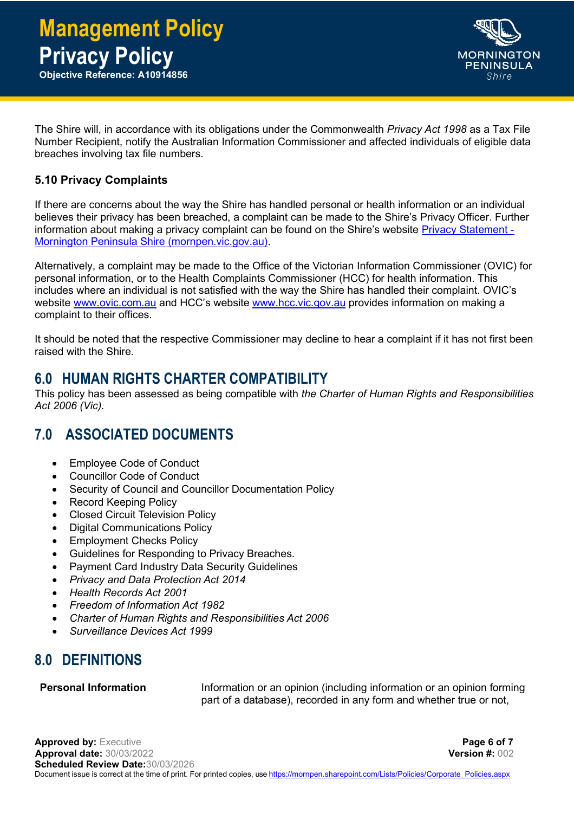

The Shire will, in accordance with its obligations under the Commonwealth *Privacy Act 1998* as a Tax File Number Recipient, notify the Australian Information Commissioner and affected individuals of eligible data breaches involving tax file numbers.

#### **5.10 Privacy Complaints**

If there are concerns about the way the Shire has handled personal or health information or an individual believes their privacy has been breached, a complaint can be made to the Shire's Privacy Officer. Further information about making a privacy complaint can be found on the Shire's website [Privacy Statement -](https://www.mornpen.vic.gov.au/System-pages/Privacy-Statement) [Mornington Peninsula Shire \(mornpen.vic.gov.au\).](https://www.mornpen.vic.gov.au/System-pages/Privacy-Statement)

Alternatively, a complaint may be made to the Office of the Victorian Information Commissioner (OVIC) for personal information, or to the Health Complaints Commissioner (HCC) for health information. This includes where an individual is not satisfied with the way the Shire has handled their complaint. OVIC's website [www.ovic.com.au](http://www.ovic.com.au/) and HCC's website [www.hcc.vic.gov.au](http://www.hcc.vic.gov.au/) provides information on making a complaint to their offices.

It should be noted that the respective Commissioner may decline to hear a complaint if it has not first been raised with the Shire.

# **6.0 HUMAN RIGHTS CHARTER COMPATIBILITY**

This policy has been assessed as being compatible with *the Charter of Human Rights and Responsibilities Act 2006 (Vic).*

# **7.0 ASSOCIATED DOCUMENTS**

- Employee Code of Conduct
- Councillor Code of Conduct
- Security of Council and Councillor Documentation Policy
- Record Keeping Policy
- Closed Circuit Television Policy
- Digital Communications Policy
- Employment Checks Policy
- Guidelines for Responding to Privacy Breaches.
- Payment Card Industry Data Security Guidelines
- *Privacy and Data Protection Act 2014*
- *Health Records Act 2001*
- *Freedom of Information Act 1982*
- *Charter of Human Rights and Responsibilities Act 2006*
- *Surveillance Devices Act 1999*

# **8.0 DEFINITIONS**

**Personal Information Information or an opinion (including information or an opinion forming** part of a database), recorded in any form and whether true or not,